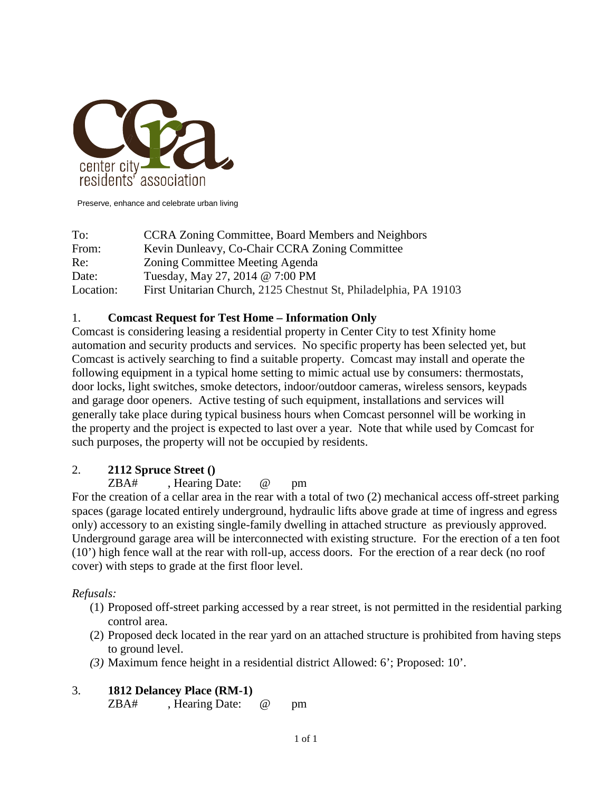

Preserve, enhance and celebrate urban living

| To:       | <b>CCRA Zoning Committee, Board Members and Neighbors</b>        |
|-----------|------------------------------------------------------------------|
| From:     | Kevin Dunleavy, Co-Chair CCRA Zoning Committee                   |
| Re:       | Zoning Committee Meeting Agenda                                  |
| Date:     | Tuesday, May 27, 2014 @ 7:00 PM                                  |
| Location: | First Unitarian Church, 2125 Chestnut St, Philadelphia, PA 19103 |

#### 1. **Comcast Request for Test Home – Information Only**

Comcast is considering leasing a residential property in Center City to test Xfinity home automation and security products and services. No specific property has been selected yet, but Comcast is actively searching to find a suitable property. Comcast may install and operate the following equipment in a typical home setting to mimic actual use by consumers: thermostats, door locks, light switches, smoke detectors, indoor/outdoor cameras, wireless sensors, keypads and garage door openers. Active testing of such equipment, installations and services will generally take place during typical business hours when Comcast personnel will be working in the property and the project is expected to last over a year. Note that while used by Comcast for such purposes, the property will not be occupied by residents.

#### 2. **2112 Spruce Street ()**

ZBA# , Hearing Date: @ pm

For the creation of a cellar area in the rear with a total of two (2) mechanical access off-street parking spaces (garage located entirely underground, hydraulic lifts above grade at time of ingress and egress only) accessory to an existing single-family dwelling in attached structure as previously approved. Underground garage area will be interconnected with existing structure. For the erection of a ten foot (10') high fence wall at the rear with roll-up, access doors. For the erection of a rear deck (no roof cover) with steps to grade at the first floor level.

#### *Refusals:*

- (1) Proposed off-street parking accessed by a rear street, is not permitted in the residential parking control area.
- (2) Proposed deck located in the rear yard on an attached structure is prohibited from having steps to ground level.
- *(3)* Maximum fence height in a residential district Allowed: 6'; Proposed: 10'.

#### 3. **1812 Delancey Place (RM-1)**

ZBA#, Hearing Date: @ pm